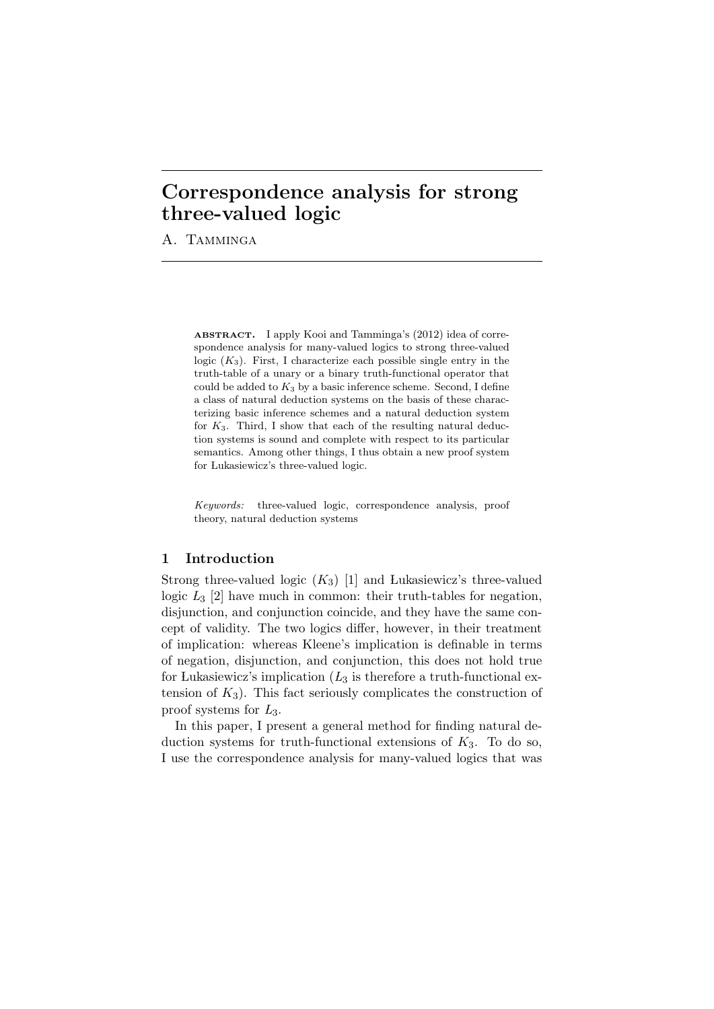## **Correspondence analysis for strong three-valued logic**

A. TAMMINGA

ABSTRACT. I apply Kooi and Tamminga's (2012) idea of correspondence analysis for many-valued logics to strong three-valued logic  $(K_3)$ . First, I characterize each possible single entry in the truth-table of a unary or a binary truth-functional operator that could be added to *K*<sup>3</sup> by a basic inference scheme. Second, I define a class of natural deduction systems on the basis of these characterizing basic inference schemes and a natural deduction system for *K*3. Third, I show that each of the resulting natural deduction systems is sound and complete with respect to its particular semantics. Among other things, I thus obtain a new proof system for Lukasiewicz's three-valued logic.

*Keywords:* three-valued logic, correspondence analysis, proof theory, natural deduction systems

## **1 Introduction**

Strong three-valued logic  $(K_3)$  [1] and Lukasiewicz's three-valued logic  $L_3$  [2] have much in common: their truth-tables for negation, disjunction, and conjunction coincide, and they have the same concept of validity. The two logics differ, however, in their treatment of implication: whereas Kleene's implication is definable in terms of negation, disjunction, and conjunction, this does not hold true for Lukasiewicz's implication  $(L_3)$  is therefore a truth-functional extension of  $K_3$ ). This fact seriously complicates the construction of proof systems for *L*3.

In this paper, I present a general method for finding natural deduction systems for truth-functional extensions of  $K_3$ . To do so, I use the correspondence analysis for many-valued logics that was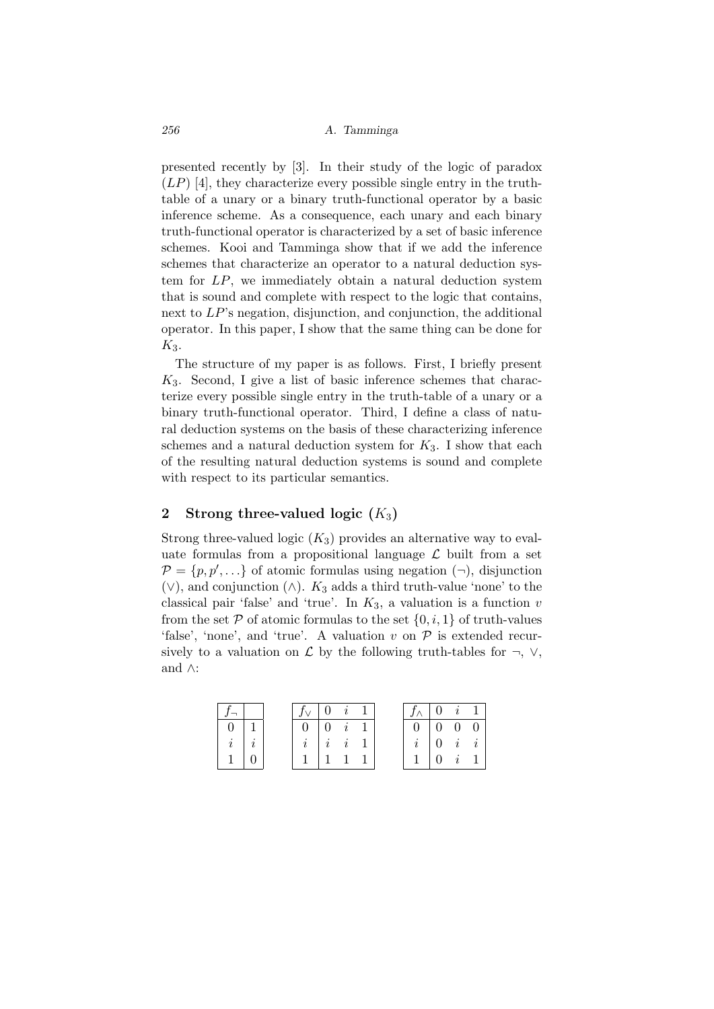presented recently by [3]. In their study of the logic of paradox  $(LP)$  [4], they characterize every possible single entry in the truthtable of a unary or a binary truth-functional operator by a basic inference scheme. As a consequence, each unary and each binary truth-functional operator is characterized by a set of basic inference schemes. Kooi and Tamminga show that if we add the inference schemes that characterize an operator to a natural deduction system for *LP*, we immediately obtain a natural deduction system that is sound and complete with respect to the logic that contains, next to *LP*'s negation, disjunction, and conjunction, the additional operator. In this paper, I show that the same thing can be done for *K*3.

The structure of my paper is as follows. First, I briefly present *K*3. Second, I give a list of basic inference schemes that characterize every possible single entry in the truth-table of a unary or a binary truth-functional operator. Third, I define a class of natural deduction systems on the basis of these characterizing inference schemes and a natural deduction system for *K*3. I show that each of the resulting natural deduction systems is sound and complete with respect to its particular semantics.

### **2 Strong three-valued logic (***K*3**)**

Strong three-valued logic  $(K_3)$  provides an alternative way to evaluate formulas from a propositional language  $\mathcal L$  built from a set  $P = \{p, p', \ldots\}$  of atomic formulas using negation  $(\neg)$ , disjunction (*∨*), and conjunction (*∧*). *K*<sup>3</sup> adds a third truth-value 'none' to the classical pair 'false' and 'true'. In  $K_3$ , a valuation is a function  $v$ from the set  $P$  of atomic formulas to the set  $\{0, i, 1\}$  of truth-values 'false', 'none', and 'true'. A valuation *v* on *P* is extended recursively to a valuation on  $\mathcal L$  by the following truth-tables for  $\neg$ ,  $\vee$ , and *∧*:

|       |  | $f_{\vee}$ 0 i 1 |                    |                     |  | $f_{\wedge}$ 0 i 1                                   |                     |  |
|-------|--|------------------|--------------------|---------------------|--|------------------------------------------------------|---------------------|--|
|       |  |                  | $0 \mid 0 \quad i$ |                     |  | $\begin{bmatrix} 0 & \overline{0} & 0 \end{bmatrix}$ |                     |  |
| $\,i$ |  |                  |                    | $i \quad i \quad 1$ |  | $i \mid 0 \quad i \quad i$                           |                     |  |
|       |  |                  |                    |                     |  |                                                      | $0 \quad i \quad 1$ |  |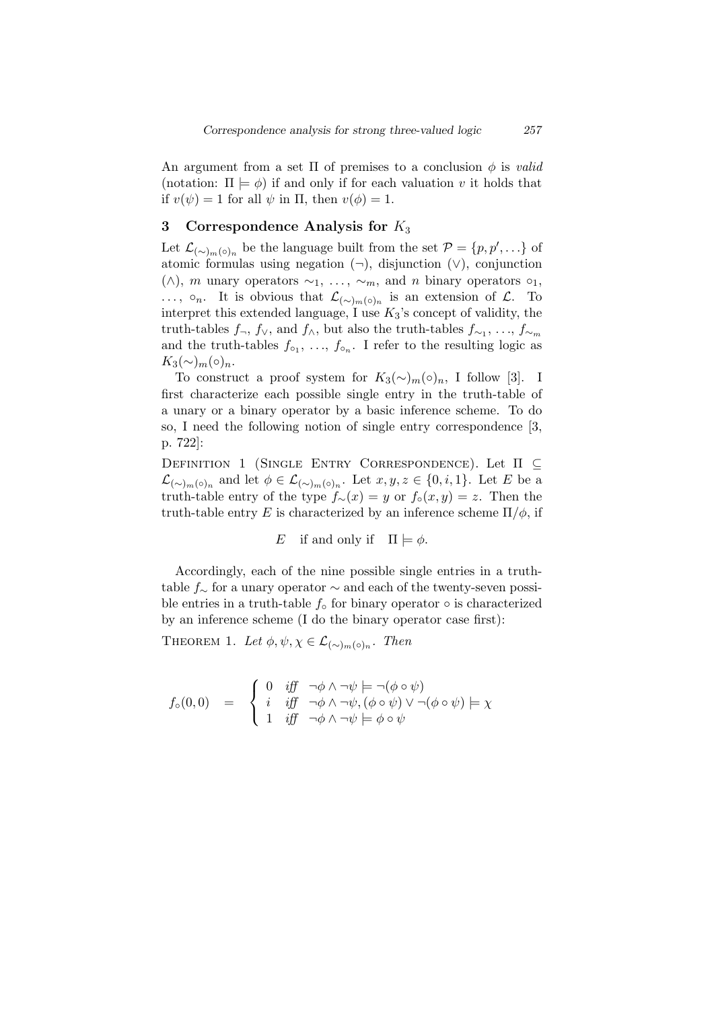An argument from a set Π of premises to a conclusion *ϕ* is *valid* (notation:  $\Pi \models \phi$ ) if and only if for each valuation *v* it holds that if  $v(\psi) = 1$  for all  $\psi$  in  $\Pi$ , then  $v(\phi) = 1$ .

### **3 Correspondence Analysis for** *K*<sup>3</sup>

Let  $\mathcal{L}_{(\sim)m(\circ)n}$  be the language built from the set  $\mathcal{P} = \{p, p', \ldots\}$  of atomic formulas using negation (*¬*), disjunction (*∨*), conjunction ( $\land$ ), *m* unary operators  $\sim_1$ , ...,  $\sim_m$ , and *n* binary operators  $\circ_1$ , *...*, **◦***n*. It is obvious that  $\mathcal{L}_{(\sim)m}(\circ)$ <sup>*n*</sup> is an extension of  $\mathcal{L}$ . To interpret this extended language, I use *K*3's concept of validity, the truth-tables  $f_{\neg}$ ,  $f_{\vee}$ , and  $f_{\wedge}$ , but also the truth-tables  $f_{\sim_1}, \ldots, f_{\sim_m}$ and the truth-tables  $f_{\circ_1}, \ldots, f_{\circ_n}$ . I refer to the resulting logic as *K*<sub>3</sub>(∼)<sub>*m*</sub>(⊙)<sub>*n*</sub>.

To construct a proof system for  $K_3(\sim)_{m}(\circ)_n$ , I follow [3]. I first characterize each possible single entry in the truth-table of a unary or a binary operator by a basic inference scheme. To do so, I need the following notion of single entry correspondence [3, p. 722]:

Definition 1 (Single Entry Correspondence). Let Π *⊆*  $\mathcal{L}_{(\sim)m(\circ)n}$  and let  $\phi \in \mathcal{L}_{(\sim)m(\circ)n}$ . Let *x*, *y*, *z* ∈ {0, *i*, 1}. Let *E* be a truth-table entry of the type  $f_∼( x ) = y$  or  $f_ o(x, y ) = z$ . Then the truth-table entry *E* is characterized by an inference scheme  $\Pi/\phi$ , if

E if and only if 
$$
\Pi \models \phi
$$
.

Accordingly, each of the nine possible single entries in a truthtable *f<sup>∼</sup>* for a unary operator *∼* and each of the twenty-seven possible entries in a truth-table *f◦* for binary operator *◦* is characterized by an inference scheme (I do the binary operator case first):

THEOREM 1. Let  $\phi, \psi, \chi \in \mathcal{L}_{(\sim)_{m}(\circ)_{n}}$ . Then

$$
f_{\circ}(0,0) = \begin{cases} 0 & \text{iff} \quad \neg \phi \land \neg \psi \models \neg (\phi \circ \psi) \\ i & \text{iff} \quad \neg \phi \land \neg \psi, (\phi \circ \psi) \lor \neg (\phi \circ \psi) \models \chi \\ 1 & \text{iff} \quad \neg \phi \land \neg \psi \models \phi \circ \psi \end{cases}
$$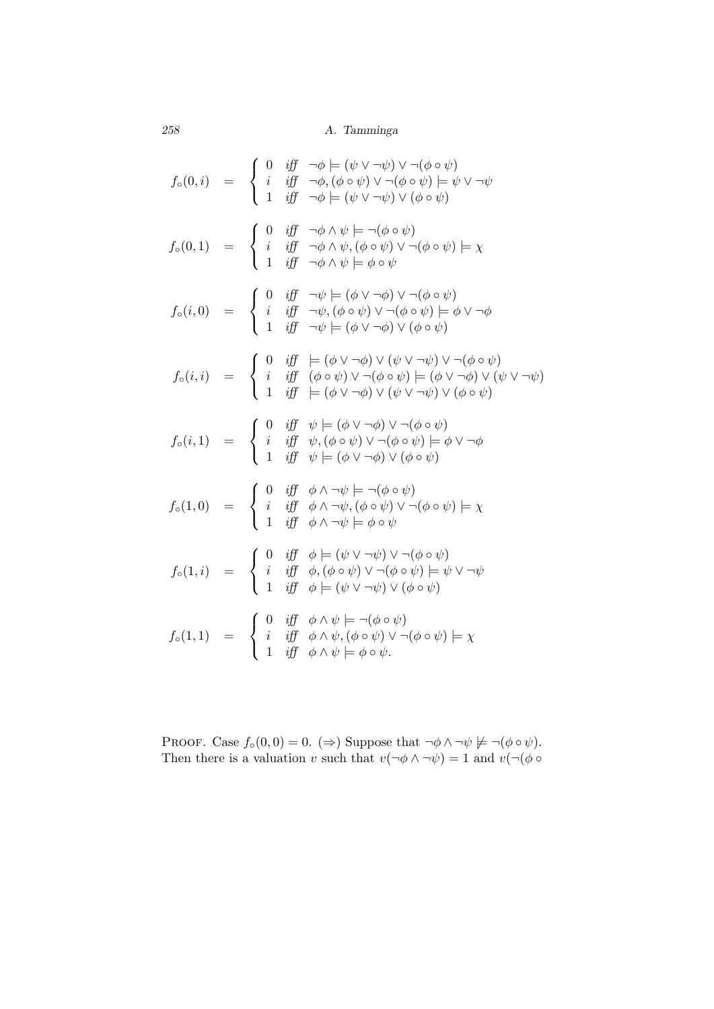$$
f_{\circ}(0,i) = \begin{cases} 0 & \text{iff } \neg \phi \models (\psi \lor \neg \psi) \lor \neg (\phi \circ \psi) \\ i & \text{iff } \neg \phi, (\phi \circ \psi) \lor \neg (\phi \circ \psi) \models \psi \lor \neg \psi \\ 1 & \text{iff } \neg \phi \models (\psi \lor \neg \psi) \lor (\phi \circ \psi) \models \psi \lor \neg \psi \end{cases}
$$

$$
f_{\circ}(0,1) = \begin{cases} 0 & \text{iff } \neg \phi \land \psi \models \neg (\phi \circ \psi) \\ i & \text{iff } \neg \phi \land \psi, (\phi \circ \psi) \lor \neg (\phi \circ \psi) \models \chi \\ 1 & \text{iff } \neg \phi \land \psi \models \phi \circ \psi \end{cases}
$$

$$
f_{\circ}(i,0) = \begin{cases} 0 & \text{iff } \neg \psi \models (\phi \lor \neg \phi) \lor \neg (\phi \circ \psi) \models \phi \lor \neg \phi \\ i & \text{iff } \neg \psi, (\phi \circ \psi) \lor \neg (\phi \circ \psi) \models \phi \lor \neg \phi \end{cases}
$$

$$
f_{\circ}(i,i) = \begin{cases} 0 & \text{iff } \neg \psi \models (\phi \lor \neg \phi) \lor (\psi \lor \neg \psi) \lor \neg (\phi \circ \psi) \\ 1 & \text{iff } \neg \psi \models (\phi \lor \neg \phi) \lor (\psi \lor \neg \psi) \lor \neg (\phi \circ \psi) \land \neg \phi \end{cases}
$$

$$
f_{\circ}(i,1) = \begin{cases} 0 & \text{iff } \psi \models (\phi \lor \neg \phi) \lor (\psi \lor \neg \psi) \lor (\phi \circ \psi) \\ i & \text{iff } \psi, (\phi \circ \psi) \lor \neg (\phi \circ \psi) \models \phi \lor \neg \phi \end{cases}
$$

$$
f_{\circ}(i,1) = \begin{cases} 0 & \text{iff } \psi \models (\phi \lor \neg \phi) \lor (\psi \lor \neg \psi) \lor (\phi \circ \psi) \\ 1 & \text{iff } \psi \models (\phi \lor \neg \phi) \lor (\phi \circ \psi) \models \phi \lor \neg \phi \end{cases}
$$

$$
f_{\circ}(1,0) = \begin{cases} 0 & \text{iff } \phi \land \neg \psi \models (\phi \lor \neg \psi) \lor \neg
$$

PROOF. Case  $f_\circ(0,0) = 0.$  ( $\Rightarrow$ ) Suppose that  $\neg \phi \land \neg \psi \not\models \neg (\phi \circ \psi)$ . Then there is a valuation *v* such that  $v(\neg \phi \land \neg \psi) = 1$  and  $v(\neg (\phi \circ \psi))$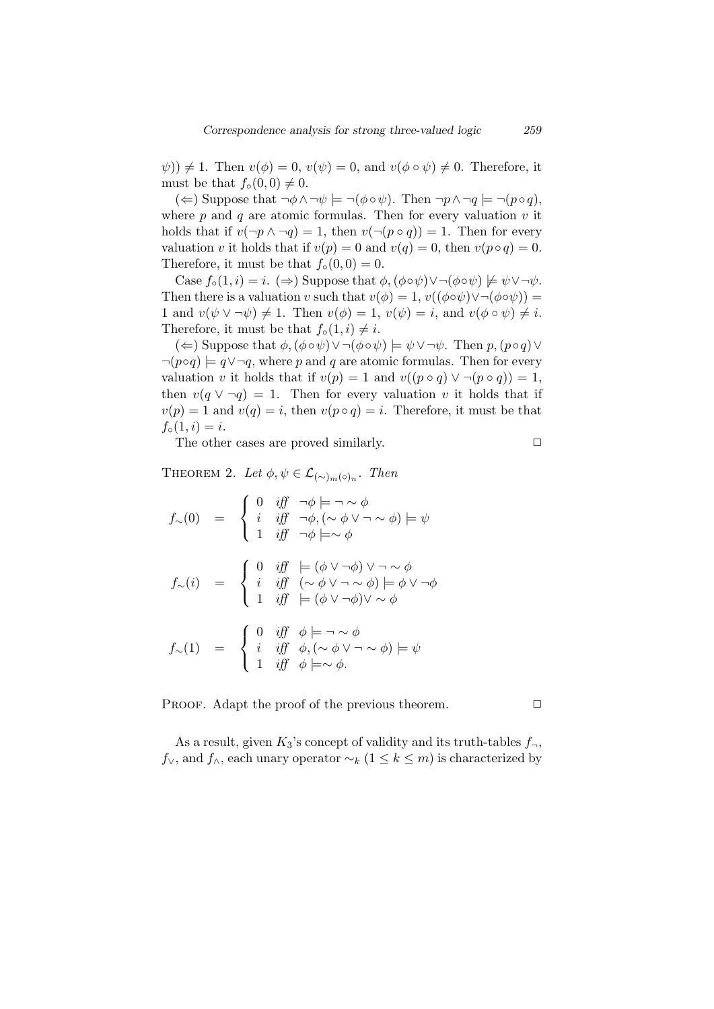$\psi$ ))  $\neq$  1. Then  $v(\phi) = 0$ ,  $v(\psi) = 0$ , and  $v(\phi \circ \psi) \neq 0$ . Therefore, it must be that  $f_{\circ}(0,0) \neq 0$ .

(←) Suppose that  $\neg \phi \land \neg \psi \models \neg (\phi \circ \psi)$ . Then  $\neg p \land \neg q \models \neg (p \circ q)$ , where  $p$  and  $q$  are atomic formulas. Then for every valuation  $v$  it holds that if  $v(\neg p \land \neg q) = 1$ , then  $v(\neg (p \circ q)) = 1$ . Then for every valuation *v* it holds that if  $v(p) = 0$  and  $v(q) = 0$ , then  $v(p \circ q) = 0$ . Therefore, it must be that  $f_{\circ}(0,0) = 0$ .

Case  $f_{\circ}(1, i) = i$ . ( $\Rightarrow$ ) Suppose that  $\phi$ ,  $(\phi \circ \psi) \lor \neg(\phi \circ \psi) \not\models \psi \lor \neg \psi$ . Then there is a valuation *v* such that  $v(\phi) = 1$ ,  $v((\phi \circ \psi) \lor \neg (\phi \circ \psi)) =$ 1 and  $v(\psi \vee \neg \psi) \neq 1$ . Then  $v(\phi) = 1$ ,  $v(\psi) = i$ , and  $v(\phi \circ \psi) \neq i$ . Therefore, it must be that  $f_{\circ}(1, i) \neq i$ .

(*⇐*) Suppose that *ϕ,*(*ϕ◦ψ*)*∨¬*(*ϕ◦ψ*) *|*= *ψ∨¬ψ*. Then *p,*(*p◦q*)*∨*  $\neg(p \circ q) \models q \lor \neg q$ , where *p* and *q* are atomic formulas. Then for every valuation *v* it holds that if  $v(p) = 1$  and  $v((p \circ q) \vee \neg (p \circ q)) = 1$ , then  $v(q \vee \neg q) = 1$ . Then for every valuation *v* it holds that if  $v(p) = 1$  and  $v(q) = i$ , then  $v(p \circ q) = i$ . Therefore, it must be that  $f_{\circ}(1, i) = i.$ 

The other cases are proved similarly.  $\Box$ 

THEOREM 2. Let  $\phi, \psi \in \mathcal{L}_{(\sim)_{m}(\circ)_{n}}$ . Then

$$
f_{\sim}(0) = \begin{cases} 0 & \text{iff} \quad \neg \phi \models \neg \sim \phi \\ i & \text{iff} \quad \neg \phi, (\sim \phi \lor \neg \sim \phi) \models \psi \\ 1 & \text{iff} \quad \neg \phi \models \sim \phi \end{cases}
$$

$$
f_{\sim}(i) = \begin{cases} 0 & \text{iff} \quad \models (\phi \lor \neg \phi) \lor \neg \sim \phi \\ i & \text{iff} \quad (\sim \phi \lor \neg \sim \phi) \models \phi \lor \neg \phi \\ 1 & \text{iff} \quad \models (\phi \lor \neg \phi) \lor \sim \phi \end{cases}
$$

$$
f_{\sim}(1) = \begin{cases} 0 & \text{iff} \quad \phi \models \neg \sim \phi \\ i & \text{iff} \quad \phi, (\sim \phi \lor \neg \sim \phi) \models \psi \\ 1 & \text{iff} \quad \phi \models \sim \phi. \end{cases}
$$

PROOF. Adapt the proof of the previous theorem. **□** 

As a result, given  $K_3$ 's concept of validity and its truth-tables  $f_\neg$ , *f*<sub>∨</sub>, and *f*<sub>∧</sub>, each unary operator  $\sim$ <sub>*k*</sub> (1 ≤ *k* ≤ *m*) is characterized by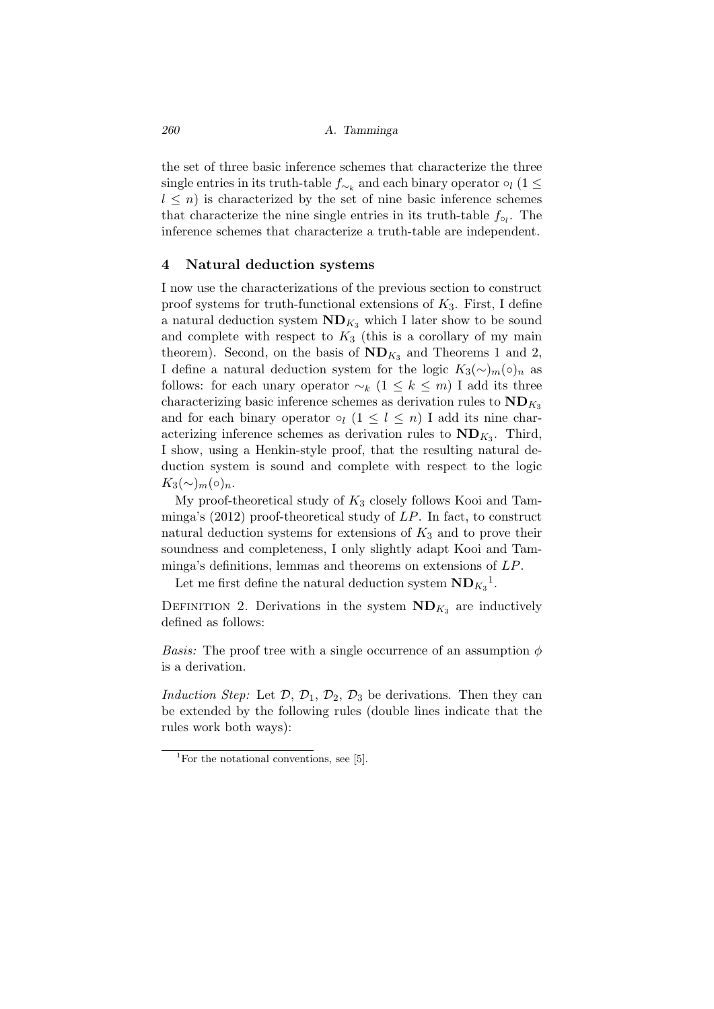the set of three basic inference schemes that characterize the three single entries in its truth-table  $f_{\sim_k}$  and each binary operator  $\circ_l$  (1  $\leq$  $l \leq n$ ) is characterized by the set of nine basic inference schemes that characterize the nine single entries in its truth-table *f◦<sup>l</sup>* . The inference schemes that characterize a truth-table are independent.

### **4 Natural deduction systems**

I now use the characterizations of the previous section to construct proof systems for truth-functional extensions of *K*3. First, I define a natural deduction system  $ND_{K_3}$  which I later show to be sound and complete with respect to  $K_3$  (this is a corollary of my main theorem). Second, on the basis of  $ND_{K_3}$  and Theorems 1 and 2, I define a natural deduction system for the logic  $K_3(\sim)_{m}(\circ)_{n}$  as follows: for each unary operator  $\sim_k (1 \leq k \leq m)$  I add its three characterizing basic inference schemes as derivation rules to  $ND_{K_3}$ and for each binary operator  $\circ_l$  (1  $\leq l \leq n$ ) I add its nine characterizing inference schemes as derivation rules to  $ND_{K_3}$ . Third, I show, using a Henkin-style proof, that the resulting natural deduction system is sound and complete with respect to the logic  $K_3(\sim)$ <sub>*m*</sub>( $\circ$ )<sub>*n*</sub>.

My proof-theoretical study of *K*<sup>3</sup> closely follows Kooi and Tamminga's (2012) proof-theoretical study of *LP*. In fact, to construct natural deduction systems for extensions of  $K_3$  and to prove their soundness and completeness, I only slightly adapt Kooi and Tamminga's definitions, lemmas and theorems on extensions of *LP*.

Let me first define the natural deduction system  $ND_{K_3}^1$ .

DEFINITION 2. Derivations in the system  $ND_{K_3}$  are inductively defined as follows:

*Basis:* The proof tree with a single occurrence of an assumption *ϕ* is a derivation.

*Induction Step:* Let  $D$ ,  $D_1$ ,  $D_2$ ,  $D_3$  be derivations. Then they can be extended by the following rules (double lines indicate that the rules work both ways):

<sup>&</sup>lt;sup>1</sup>For the notational conventions, see [5].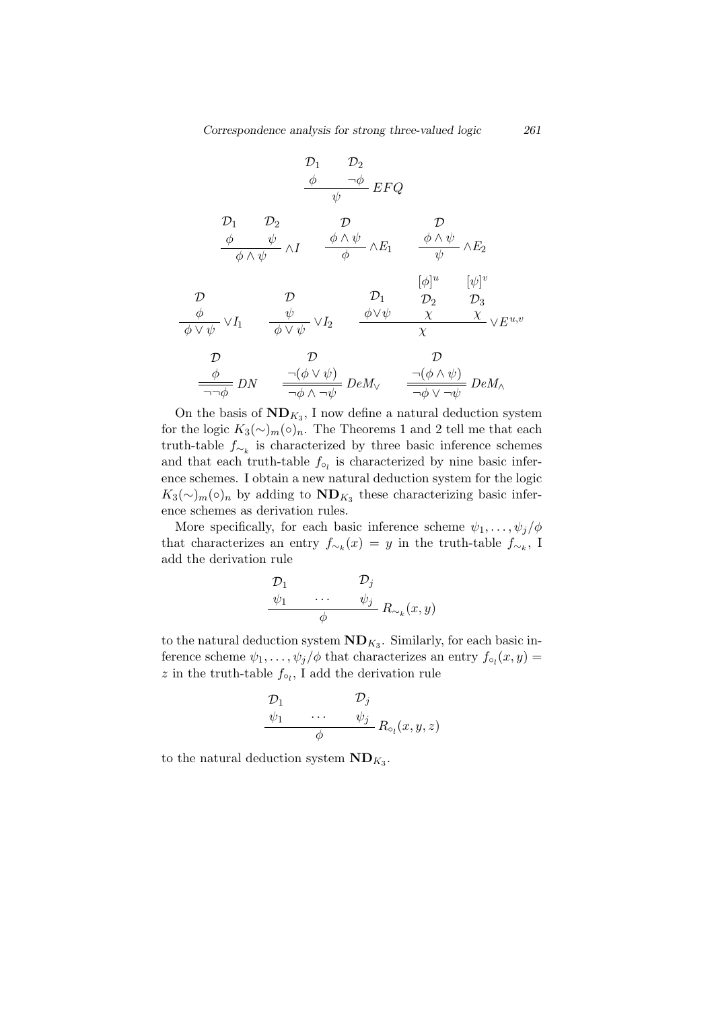$$
\frac{\mathcal{D}_1}{\phi} \quad \frac{\mathcal{D}_2}{\psi} E F Q
$$
\n
$$
\frac{\phi}{\phi} \quad \frac{\psi}{\phi} \wedge \psi \qquad \frac{\phi \wedge \psi}{\phi} \wedge E_1 \qquad \frac{\phi \wedge \psi}{\psi} \wedge E_2
$$
\n
$$
\frac{\mathcal{D}_1}{\phi \wedge \psi} \mathcal{D}_1 \qquad \frac{\phi \wedge \psi}{\phi} \wedge E_1 \qquad \frac{[\phi]^u}{\psi} \qquad [\psi]^v
$$
\n
$$
\frac{\mathcal{D}_1}{\phi \vee \psi} \vee I_1 \qquad \frac{\psi}{\phi \vee \psi} \vee I_2 \qquad \frac{\phi \vee \psi}{\chi} \qquad \frac{\phi \vee \psi}{\chi} \qquad \frac{\chi}{\chi} \vee E^{u,v}
$$
\n
$$
\frac{\mathcal{D}_1}{\phi \vee \psi} \mathcal{D}_2 \qquad \frac{\mathcal{D}_2}{\chi} \qquad \frac{\mathcal{D}_3}{\chi} \vee E^{u,v}
$$
\n
$$
\frac{\mathcal{D}_1}{\phi \vee \psi} \mathcal{D}_2 \qquad \frac{\mathcal{D}_2}{\chi} \qquad \frac{\mathcal{D}_3}{\chi} \vee E^{u,v}
$$
\n
$$
\frac{\mathcal{D}_3}{\neg \phi} \mathcal{D}_1 \qquad \frac{\mathcal{D}_2}{\neg \phi \wedge \neg \psi} \mathcal{D}_2 \wedge \frac{\mathcal{D}_3}{\neg \phi \vee \neg \psi} \mathcal{D}_3 \wedge \frac{\mathcal{D}_4}{\neg \phi \vee \neg \psi} \mathcal{D}_4 \wedge \frac{\mathcal{D}_5}{\neg \phi \vee \neg \psi} \mathcal{D}_5 \wedge \frac{\mathcal{D}_6}{\neg \phi \vee \neg \psi} \mathcal{D}_6 \wedge \frac{\mathcal{D}_7}{\neg \phi \vee \neg \psi} \mathcal{D}_7 \wedge \frac{\mathcal{D}_7}{\neg \phi \vee \neg \psi} \mathcal{D}_8 \wedge \frac{\mathcal{D}_8}{\neg \phi \vee \psi} \mathcal{D}_9 \wedge \frac{\mathcal{D}_9}{\neg \phi \vee \psi} \mathcal{D}_1 \wedge \frac{\mathcal{D
$$

On the basis of  $ND_{K_3}$ , I now define a natural deduction system for the logic  $K_3(\sim)_{m}(\circ)_{n}$ . The Theorems 1 and 2 tell me that each truth-table *f∼<sup>k</sup>* is characterized by three basic inference schemes and that each truth-table  $f_{\circ_l}$  is characterized by nine basic inference schemes. I obtain a new natural deduction system for the logic  $K_3(\sim)_{m}(\circ)_{n}$  by adding to  $ND_{K_3}$  these characterizing basic inference schemes as derivation rules.

More specifically, for each basic inference scheme  $\psi_1, \ldots, \psi_j/\phi$ that characterizes an entry  $f_{\sim_k}(x) = y$  in the truth-table  $f_{\sim_k}$ , I add the derivation rule

$$
\begin{array}{ccc}\n\mathcal{D}_1 & & \mathcal{D}_j \\
\psi_1 & \cdots & \psi_j \\
\phi & & \mathcal{R}_{\sim_k}(x, y)\n\end{array}
$$

to the natural deduction system  $ND_{K_3}$ . Similarly, for each basic inference scheme  $\psi_1, \ldots, \psi_j/\phi$  that characterizes an entry  $f_{\circ_l}(x, y) =$ *z* in the truth-table *f◦<sup>l</sup>* , I add the derivation rule

$$
\begin{array}{ccc}\n\mathcal{D}_1 & \mathcal{D}_j \\
\psi_1 & \cdots & \psi_j \\
\phi & & R_{\circ_l}(x, y, z)\n\end{array}
$$

to the natural deduction system  $ND_{K_3}$ .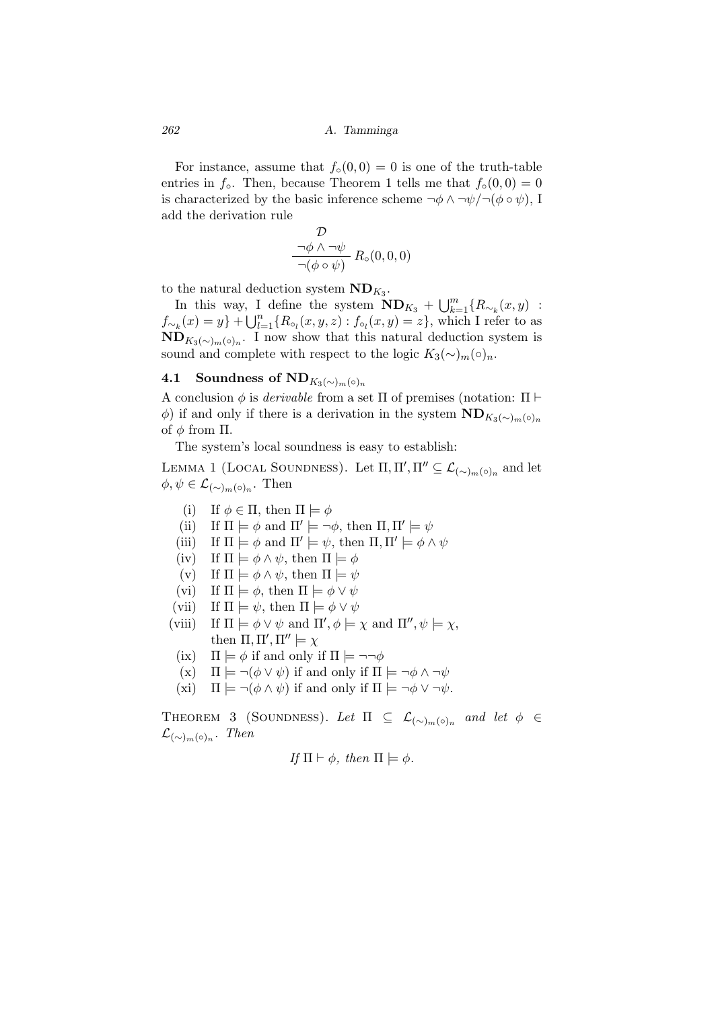For instance, assume that  $f_{\circ}(0,0) = 0$  is one of the truth-table entries in *f*<sup>*o*</sup>. Then, because Theorem 1 tells me that  $f_{\circ}(0,0) = 0$ is characterized by the basic inference scheme  $\neg \phi \land \neg \psi / \neg (\phi \circ \psi)$ , I add the derivation rule

$$
\frac{\mathcal{D}}{-\phi \land \neg \psi} \underset{\neg (\phi \circ \psi)}{\neg \phi \land \neg \psi} R_{\circ}(0,0,0)
$$

to the natural deduction system  $ND_{K_3}$ .

In this way, I define the system  $\mathbf{ND}_{K_3} + \bigcup_{k=1}^m \{R_{\sim_k}(x, y)$ : *f*<sub>∼</sub><sup>*k*</sup>(*x*) = *y*<sup>}</sup> +  $\bigcup_{l=1}^{n}$  { $R$ <sup>*∘*</sup><sub>*l*</sub></sub>(*x, y, z*) : *f*<sub>∘</sub><sub>*l*</sub>(*x, y*) = *z*<sup>}</sup>, which I refer to as  $\mathbf{ND}_{K_3(\sim)m(\circ)}$ . I now show that this natural deduction system is sound and complete with respect to the logic  $K_3(\sim)_{m}(\circ)_n$ .

## **4.1** Soundness of  $ND_{K_3(\sim)_{m}(\circ)_{n}}$

A conclusion *ϕ* is *derivable* from a set Π of premises (notation: Π *⊢*  $\phi$ ) if and only if there is a derivation in the system  $\text{ND}_{K_3(\sim)_{m}(\circ)_{n}}$ of  $\phi$  from  $\Pi$ .

The system's local soundness is easy to establish:

LEMMA 1 (LOCAL SOUNDNESS). Let  $\Pi, \Pi', \Pi'' \subseteq \mathcal{L}_{(\sim)_{m}(\circ)_{n}}$  and let  $\phi, \psi \in \mathcal{L}_{(\sim)_{m}(\circ)_{n}}$ . Then

- (i) If  $\phi \in \Pi$ , then  $\Pi \models \phi$
- (ii) If  $\Pi \models \phi$  and  $\Pi' \models \neg \phi$ , then  $\Pi, \Pi' \models \psi$
- (iii) If  $\Pi \models \phi$  and  $\Pi' \models \psi$ , then  $\Pi, \Pi' \models \phi \land \psi$
- (iv) If  $\Pi \models \phi \land \psi$ , then  $\Pi \models \phi$
- $(v)$  If  $\Pi \models \phi \land \psi$ , then  $\Pi \models \psi$
- (vi) If  $\Pi \models \phi$ , then  $\Pi \models \phi \lor \psi$
- (vii) If  $\Pi \models \psi$ , then  $\Pi \models \phi \lor \psi$
- (viii) If  $\Pi \models \phi \lor \psi$  and  $\Pi', \phi \models \chi$  and  $\Pi'', \psi \models \chi$ , then  $\Pi, \Pi', \Pi'' \models \chi$ 
	- (ix)  $\Pi \models \phi$  if and only if  $\Pi \models \neg \neg \phi$
	- $(\mathbf{x})$   $\Pi$   $\models \neg(\phi \lor \psi)$  if and only if  $\Pi$   $\models \neg \phi \land \neg \psi$
	- (xi)  $\Pi \models \neg(\phi \land \psi)$  if and only if  $\Pi \models \neg \phi \lor \neg \psi$ .

THEOREM 3 (SOUNDNESS). Let  $\Pi \subseteq \mathcal{L}_{(\sim)_{m}(\circ)_{n}}$  and let  $\phi \in$  $\mathcal{L}_{({\sim})_m(\circ)_n}$ . Then

If 
$$
\Pi \vdash \phi
$$
, then  $\Pi \models \phi$ .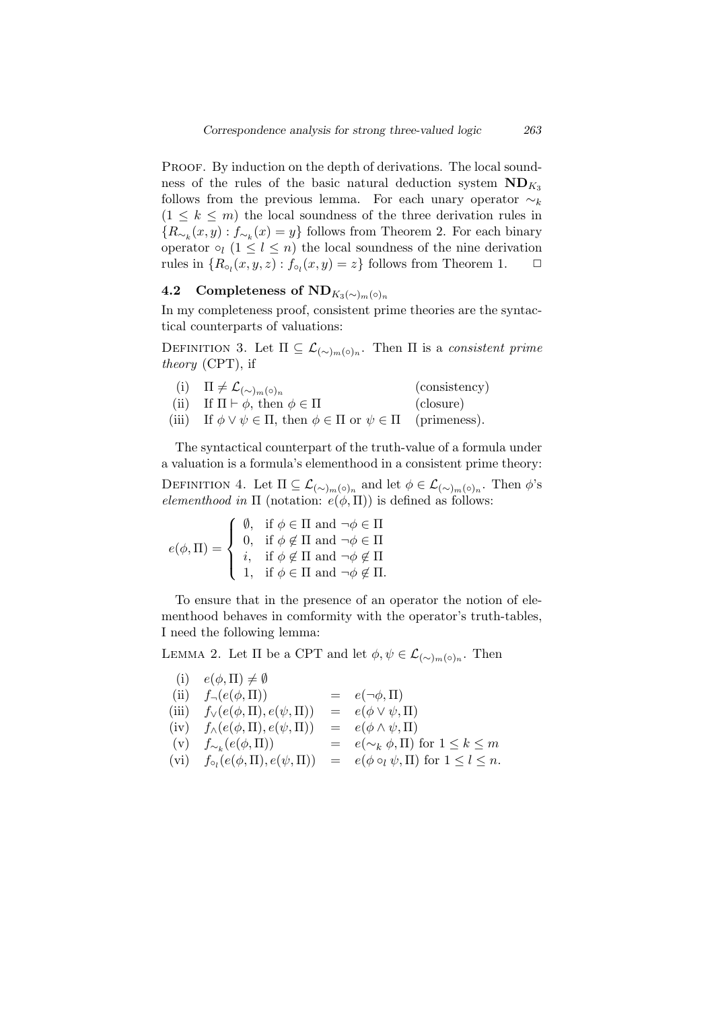PROOF. By induction on the depth of derivations. The local soundness of the rules of the basic natural deduction system  $ND_{K_3}$ follows from the previous lemma. For each unary operator *∼<sup>k</sup>*  $(1 \leq k \leq m)$  the local soundness of the three derivation rules in *{R*<sub>∼</sub>*k*</sub>(*x, y*) : *f*<sub>∼</sub><sup>*k*</sup>(*x*) = *y*<sup>}</sup> follows from Theorem 2. For each binary operator  $\circ_l$  (1  $\leq l \leq n$ ) the local soundness of the nine derivation rules in  ${R_{\circ_l}(x, y, z) : f_{\circ_l}(x, y) = z}$  follows from Theorem 1.  $\Box$ 

# **4.2** Completeness of  $ND_{K_3(\sim)m(\circ)n}$

In my completeness proof, consistent prime theories are the syntactical counterparts of valuations:

DEFINITION 3. Let  $\Pi \subseteq \mathcal{L}_{(\sim)_{m}(\circ)_{n}}$ . Then  $\Pi$  is a *consistent prime theory* (CPT), if

- (i)  $\Pi \neq \mathcal{L}_{(\sim)n}(\circ)_n$ (consistency)
- (ii) If  $\Pi \vdash \phi$ , then  $\phi \in \Pi$  (closure)
- (iii) If  $\phi \lor \psi \in \Pi$ , then  $\phi \in \Pi$  or  $\psi \in \Pi$  (primeness).

The syntactical counterpart of the truth-value of a formula under a valuation is a formula's elementhood in a consistent prime theory:

DEFINITION 4. Let  $\Pi \subseteq \mathcal{L}_{(\sim)_{m}(o)_{n}}$  and let  $\phi \in \mathcal{L}_{(\sim)_{m}(o)_{n}}$ . Then  $\phi$ 's *elementhood in*  $\Pi$  (notation:  $e(\phi, \Pi)$ ) is defined as follows:

$$
e(\phi, \Pi) = \begin{cases} \n\begin{array}{ll}\n\emptyset, & \text{if } \phi \in \Pi \text{ and } \neg \phi \in \Pi \\
0, & \text{if } \phi \notin \Pi \text{ and } \neg \phi \in \Pi \\
i, & \text{if } \phi \notin \Pi \text{ and } \neg \phi \notin \Pi \\
1, & \text{if } \phi \in \Pi \text{ and } \neg \phi \notin \Pi.\n\end{array}\n\end{cases}
$$

To ensure that in the presence of an operator the notion of elementhood behaves in comformity with the operator's truth-tables, I need the following lemma:

LEMMA 2. Let  $\Pi$  be a CPT and let  $\phi, \psi \in \mathcal{L}_{(\sim)_{m}(\circ)_{n}}$ . Then

| (i)  | $e(\phi,\Pi) \neq \emptyset$               |                                                       |
|------|--------------------------------------------|-------------------------------------------------------|
| (ii) | $f_{\neg}(e(\phi,\Pi))$                    | $= e(\neg \phi, \Pi)$                                 |
|      | (iii) $f_{\vee}(e(\phi,\Pi),e(\psi,\Pi))$  | $= e(\phi \vee \psi, \Pi)$                            |
|      | (iv) $f_{\wedge}(e(\phi,\Pi),e(\psi,\Pi))$ | $= e(\phi \wedge \psi, \Pi)$                          |
| (v)  | $f_{\sim_k}(e(\phi,\Pi))$                  | $= e(\sim_k \phi, \Pi)$ for $1 \leq k \leq m$         |
|      | (vi) $f_{\circ}e(\phi,\Pi), e(\psi,\Pi)$   | $= e(\phi \circ_l \psi, \Pi)$ for $1 \leq l \leq n$ . |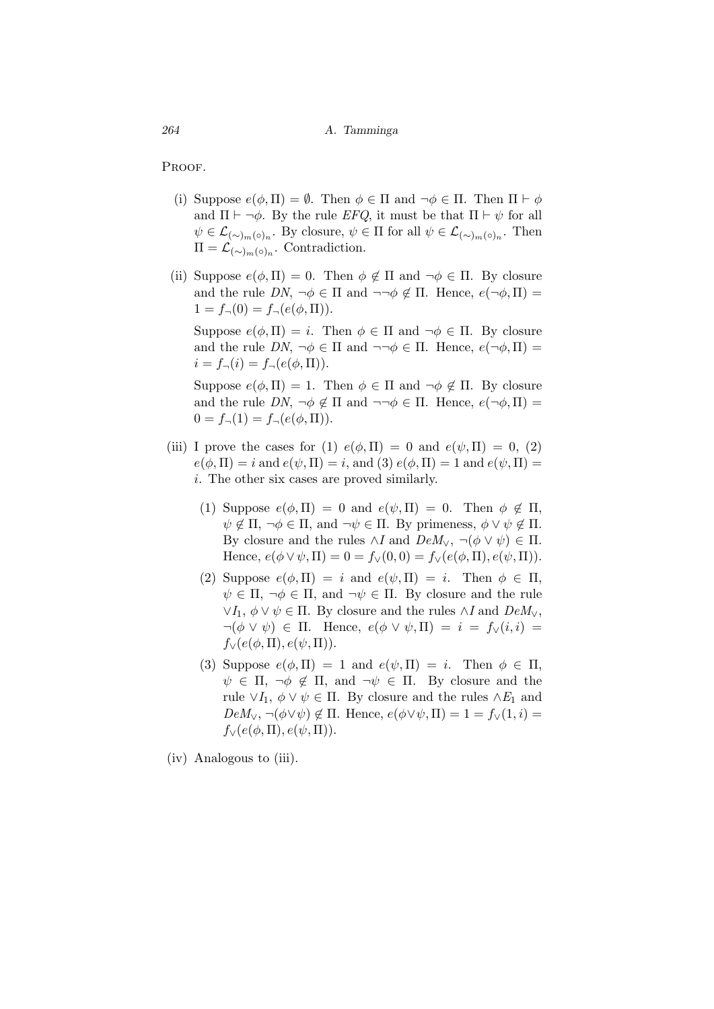PROOF.

- (i) Suppose  $e(\phi, \Pi) = \emptyset$ . Then  $\phi \in \Pi$  and  $\neg \phi \in \Pi$ . Then  $\Pi \vdash \phi$ and  $\Pi \vdash \neg \phi$ . By the rule *EFQ*, it must be that  $\Pi \vdash \psi$  for all  $\psi \in \mathcal{L}_{(\sim)m(\circ)n}$ . By closure,  $\psi \in \Pi$  for all  $\psi \in \mathcal{L}_{(\sim)m(\circ)n}$ . Then  $\Pi = \mathcal{L}_{(\sim)_{m}(\circ)_{n}}$ . Contradiction.
- (ii) Suppose  $e(\phi, \Pi) = 0$ . Then  $\phi \notin \Pi$  and  $\neg \phi \in \Pi$ . By closure and the rule  $DN$ ,  $\neg \phi \in \Pi$  and  $\neg \neg \phi \notin \Pi$ . Hence,  $e(\neg \phi, \Pi) =$  $1 = f<sub>\square</sub>(0) = f<sub>\square</sub>(e(\phi, \Pi)).$

Suppose  $e(\phi, \Pi) = i$ . Then  $\phi \in \Pi$  and  $\neg \phi \in \Pi$ . By closure and the rule  $DN$ ,  $\neg \phi \in \Pi$  and  $\neg \neg \phi \in \Pi$ . Hence,  $e(\neg \phi, \Pi) =$  $i = f_{\neg}(i) = f_{\neg}(e(\phi, \Pi)).$ 

Suppose  $e(\phi, \Pi) = 1$ . Then  $\phi \in \Pi$  and  $\neg \phi \notin \Pi$ . By closure and the rule  $DN$ ,  $\neg \phi \notin \Pi$  and  $\neg \neg \phi \in \Pi$ . Hence,  $e(\neg \phi, \Pi) =$  $0 = f_{\neg}(1) = f_{\neg}(e(\phi, \Pi)).$ 

- (iii) I prove the cases for (1)  $e(\phi, \Pi) = 0$  and  $e(\psi, \Pi) = 0$ , (2)  $e(\phi, \Pi) = i$  and  $e(\psi, \Pi) = i$ , and (3)  $e(\phi, \Pi) = 1$  and  $e(\psi, \Pi) =$ *i*. The other six cases are proved similarly.
	- (1) Suppose  $e(\phi, \Pi) = 0$  and  $e(\psi, \Pi) = 0$ . Then  $\phi \notin \Pi$ ,  $\psi \notin \Pi$ ,  $\neg \phi \in \Pi$ , and  $\neg \psi \in \Pi$ . By primeness,  $\phi \vee \psi \notin \Pi$ . By closure and the rules  $\wedge I$  and  $DeM_{\vee}$ ,  $\neg(\phi \vee \psi) \in \Pi$ . Hence,  $e(\phi \vee \psi, \Pi) = 0 = f_{\vee}(0, 0) = f_{\vee}(e(\phi, \Pi), e(\psi, \Pi)).$
	- (2) Suppose  $e(\phi, \Pi) = i$  and  $e(\psi, \Pi) = i$ . Then  $\phi \in \Pi$ ,  $\psi \in \Pi$ ,  $\neg \phi \in \Pi$ , and  $\neg \psi \in \Pi$ . By closure and the rule  $∨$ *<i>I*<sub>1</sub>,  $\phi ∨ \psi \in \Pi$ . By closure and the rules  $∧$ *I* and  $DeM ∨$ ,  $\neg(\phi \lor \psi) \in \Pi$ . Hence,  $e(\phi \lor \psi, \Pi) = i = f_{\lor}(i, i) =$  $f_\vee(e(\phi,\Pi),e(\psi,\Pi)).$
	- (3) Suppose  $e(\phi, \Pi) = 1$  and  $e(\psi, \Pi) = i$ . Then  $\phi \in \Pi$ ,  $\psi \in \Pi$ ,  $\neg \phi \notin \Pi$ , and  $\neg \psi \in \Pi$ . By closure and the rule  $\vee I_1$ ,  $\phi \vee \psi \in \Pi$ . By closure and the rules  $\wedge E_1$  and  $DeM_v$ ,  $\neg(\phi \lor \psi) \notin \Pi$ . Hence,  $e(\phi \lor \psi, \Pi) = 1 = f_v(1, i) =$  $f_\vee(e(\phi,\Pi),e(\psi,\Pi)).$

(iv) Analogous to (iii).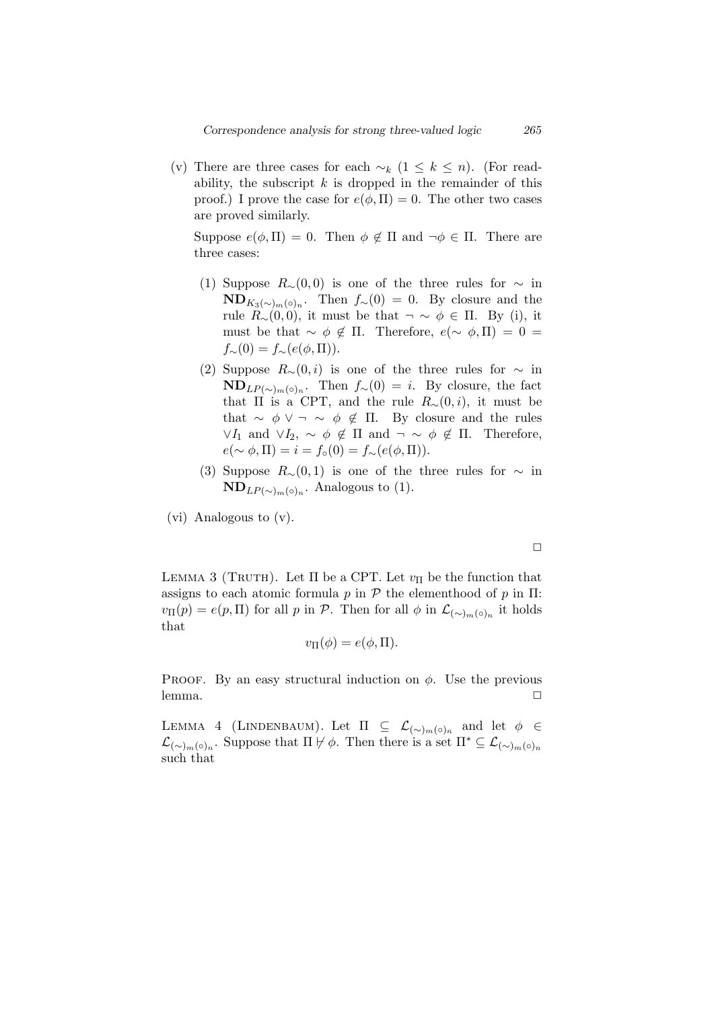(v) There are three cases for each  $∼<sub>k</sub>$  (1 ≤ *k* ≤ *n*). (For readability, the subscript *k* is dropped in the remainder of this proof.) I prove the case for  $e(\phi, \Pi) = 0$ . The other two cases are proved similarly.

Suppose  $e(\phi, \Pi) = 0$ . Then  $\phi \notin \Pi$  and  $\neg \phi \in \Pi$ . There are three cases:

- (1) Suppose  $R<sub>∼</sub>(0,0)$  is one of the three rules for  $\sim$  in  $\mathbf{ND}_{K_3(\sim)_{m}(\circ)}$ . Then  $f_\sim(0) = 0$ . By closure and the rule  $R_\sim(0,0)$ , it must be that  $\neg \sim \phi \in \Pi$ . By (i), it must be that  $\sim \phi \notin \Pi$ . Therefore,  $e(\sim \phi, \Pi) = 0$  $f_∼(0) = f_∼( e(φ, \Pi)).$
- (2) Suppose  $R_\sim(0,i)$  is one of the three rules for  $\sim$  in  $\mathbf{ND}_{LP(\sim)_{m}(\circ)_{n}}$ . Then  $f_{\sim}(0) = i$ . By closure, the fact that  $\Pi$  is a CPT, and the rule  $R_\sim(0,i)$ , it must be that  $\sim \phi \vee \neg \sim \phi \notin \Pi$ . By closure and the rules *∨I*<sub>1</sub> and  $\lor$ *I*<sub>2</sub>,  $\sim \phi \notin \Pi$  and  $\neg \sim \phi \notin \Pi$ . Therefore,  $e(\sim \phi, \Pi) = i = f_\circ(0) = f_\sim(e(\phi, \Pi)).$
- (3) Suppose  $R<sub>∼</sub>(0,1)$  is one of the three rules for  $\sim$  in  $\mathbf{ND}_{LP(\sim)_{m}(\circ)_{n}}$ . Analogous to (1).
- (vi) Analogous to (v).

 $\Box$ 

LEMMA 3 (TRUTH). Let  $\Pi$  be a CPT. Let  $v_{\Pi}$  be the function that assigns to each atomic formula  $p$  in  $P$  the elementhood of  $p$  in  $\Pi$ :  $v_{\Pi}(p) = e(p, \Pi)$  for all *p* in *P*. Then for all  $\phi$  in  $\mathcal{L}_{(\sim)_{m}(\circ)_{n}}$  it holds that

$$
v_{\Pi}(\phi) = e(\phi, \Pi).
$$

PROOF. By an easy structural induction on  $\phi$ . Use the previous lemma. <del>□</del>

LEMMA 4 (LINDENBAUM). Let  $\Pi \subseteq L_{(\sim)m(\circ)n}$  and let  $\phi \in$  $\mathcal{L}_{(\sim)m}(\circ)_{n}$ . Suppose that  $\Pi \not\models \phi$ . Then there is a set  $\Pi^* \subseteq \mathcal{L}_{(\sim)m}(\circ)_{n}$ such that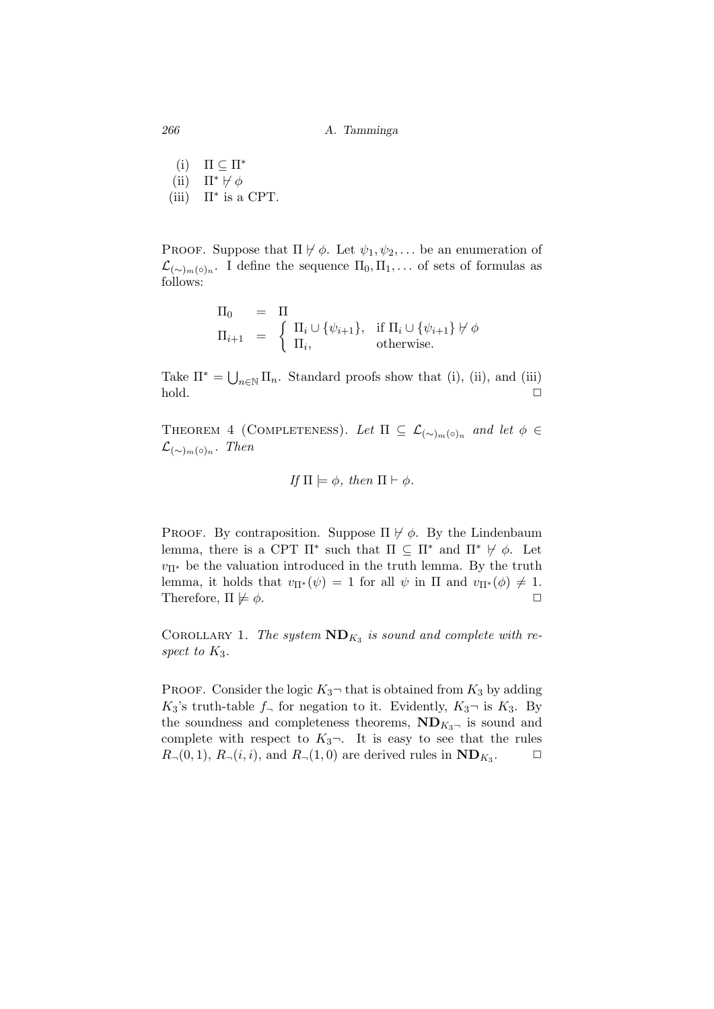- (i)  $\Pi \subset \Pi^*$
- (ii)  $\Pi^* \nvDash \phi$
- (iii)  $\Pi^*$  is a CPT.

PROOF. Suppose that  $\Pi \not \vdash \phi$ . Let  $\psi_1, \psi_2, \ldots$  be an enumeration of  $\mathcal{L}_{(\sim)m(\circ)n}$ . I define the sequence  $\Pi_0, \Pi_1, \ldots$  of sets of formulas as follows:

$$
\Pi_0 = \Pi
$$
  
\n
$$
\Pi_{i+1} = \begin{cases}\n\Pi_i \cup \{\psi_{i+1}\}, & \text{if } \Pi_i \cup \{\psi_{i+1}\} \not\vdash \phi \\
\Pi_i, & \text{otherwise.} \n\end{cases}
$$

Take  $\Pi^* = \bigcup_{n \in \mathbb{N}} \Pi_n$ . Standard proofs show that (i), (ii), and (iii) hold. *✷*

THEOREM 4 (COMPLETENESS). Let  $\Pi \subseteq \mathcal{L}_{(\sim)_{m}(\circ)_{n}}$  and let  $\phi \in$  $\mathcal{L}_{({\sim})_m(\circ)_n}$ . Then

If 
$$
\Pi \models \phi
$$
, then  $\Pi \vdash \phi$ .

PROOF. By contraposition. Suppose  $\Pi \not\vdash \phi$ . By the Lindenbaum lemma, there is a CPT  $\Pi^*$  such that  $\Pi \subseteq \Pi^*$  and  $\Pi^* \not\models \phi$ . Let  $v_{\Pi}$ <sup>\*</sup> be the valuation introduced in the truth lemma. By the truth lemma, it holds that  $v_{\Pi}*(\psi) = 1$  for all  $\psi$  in  $\Pi$  and  $v_{\Pi}*(\phi) \neq 1$ . Therefore,  $\Pi \not\models \phi$ .

COROLLARY 1. The system  $ND_{K_3}$  is sound and complete with re*spect to K*3*.*

PROOF. Consider the logic  $K_3$ <sup> $-$ </sup> that is obtained from  $K_3$  by adding  $K_3$ 's truth-table  $f_\neg$  for negation to it. Evidently,  $K_3$ <sup> $\neg$ </sup> is  $K_3$ . By the soundness and completeness theorems,  $ND_{K_3}$  is sound and complete with respect to  $K_3$ <sup> $\lnot$ </sup>. It is easy to see that the rules  $R_{\neg}(0,1)$ ,  $R_{\neg}(i,i)$ , and  $R_{\neg}(1,0)$  are derived rules in  $ND_{K_3}$ .  $\Box$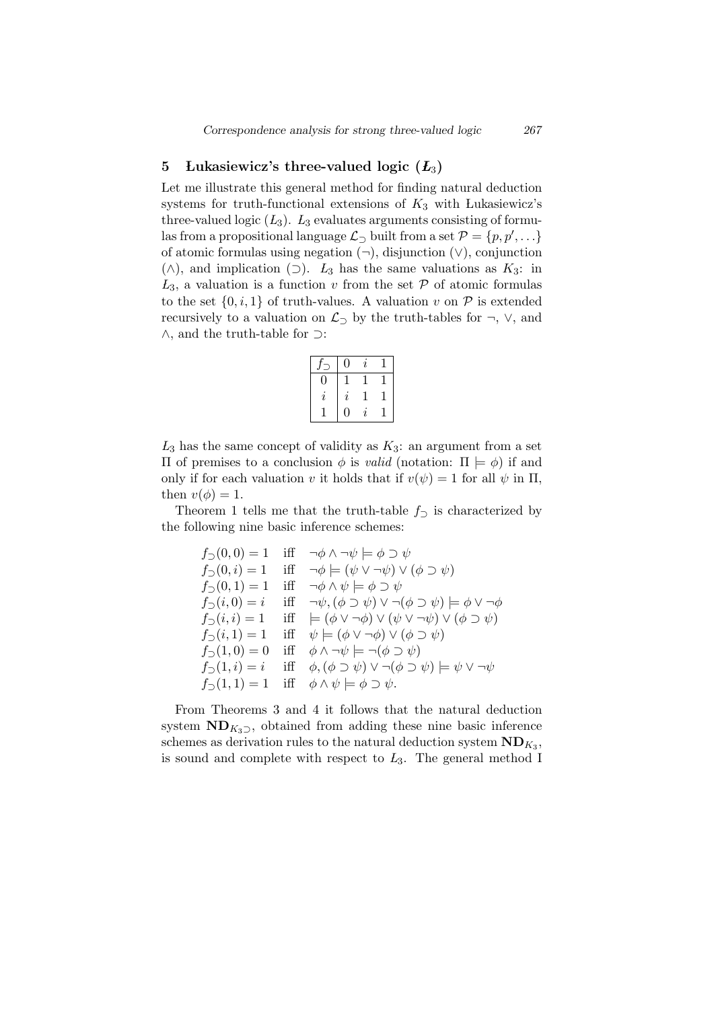## 5 Lukasiewicz's three-valued logic  $(L_3)$

Let me illustrate this general method for finding natural deduction systems for truth-functional extensions of *K*<sup>3</sup> with Lukasiewicz's three-valued logic  $(L_3)$ .  $L_3$  evaluates arguments consisting of formulas from a propositional language  $\mathcal{L}_\supset$  built from a set  $\mathcal{P} = \{p, p', \ldots\}$ of atomic formulas using negation (*¬*), disjunction (*∨*), conjunction (*∧*), and implication (*⊃*). *L*<sup>3</sup> has the same valuations as *K*3: in  $L_3$ , a valuation is a function *v* from the set  $P$  of atomic formulas to the set  $\{0, i, 1\}$  of truth-values. A valuation  $v$  on  $P$  is extended recursively to a valuation on  $\mathcal{L}_\supset$  by the truth-tables for  $\neg$ ,  $\vee$ , and *∧*, and the truth-table for *⊃*:

|    | 0                   | $\imath$ |  |
|----|---------------------|----------|--|
| 0  |                     |          |  |
| I. | $\boldsymbol{\eta}$ |          |  |
|    | 0                   | I.       |  |

 $L_3$  has the same concept of validity as  $K_3$ : an argument from a set Π of premises to a conclusion *ϕ* is *valid* (notation: Π *|*= *ϕ*) if and only if for each valuation *v* it holds that if  $v(\psi) = 1$  for all  $\psi$  in  $\Pi$ , then  $v(\phi) = 1$ .

Theorem 1 tells me that the truth-table  $f<sub>sup</sub>$  is characterized by the following nine basic inference schemes:

$$
f_0(0,0) = 1 \quad \text{iff} \quad \neg \phi \land \neg \psi \models \phi \supset \psi
$$
  
\n
$$
f_0(0,i) = 1 \quad \text{iff} \quad \neg \phi \models (\psi \lor \neg \psi) \lor (\phi \supset \psi)
$$
  
\n
$$
f_0(0,1) = 1 \quad \text{iff} \quad \neg \phi \land \psi \models \phi \supset \psi
$$
  
\n
$$
f_0(i,0) = i \quad \text{iff} \quad \neg \psi, (\phi \supset \psi) \lor \neg (\phi \supset \psi) \models \phi \lor \neg \phi
$$
  
\n
$$
f_0(i,i) = 1 \quad \text{iff} \quad \models (\phi \lor \neg \phi) \lor (\psi \lor \neg \psi) \lor (\phi \supset \psi)
$$
  
\n
$$
f_0(i,1) = 1 \quad \text{iff} \quad \psi \models (\phi \lor \neg \phi) \lor (\phi \supset \psi)
$$
  
\n
$$
f_0(1,0) = 0 \quad \text{iff} \quad \phi \land \neg \psi \models \neg (\phi \supset \psi)
$$
  
\n
$$
f_0(1,i) = i \quad \text{iff} \quad \phi, (\phi \supset \psi) \lor \neg (\phi \supset \psi) \models \psi \lor \neg \psi
$$
  
\n
$$
f_0(1,1) = 1 \quad \text{iff} \quad \phi \land \psi \models \phi \supset \psi.
$$

From Theorems 3 and 4 it follows that the natural deduction system  $ND_{K_3}$ , obtained from adding these nine basic inference schemes as derivation rules to the natural deduction system  $\text{ND}_{K_3}$ , is sound and complete with respect to *L*3. The general method I